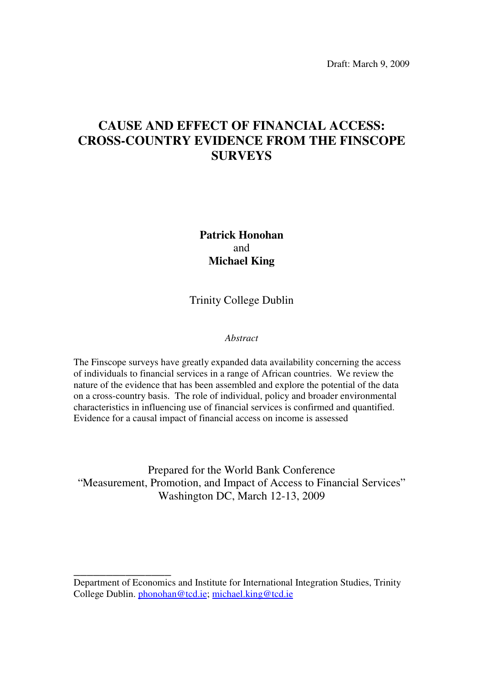Draft: March 9, 2009

# **CAUSE AND EFFECT OF FINANCIAL ACCESS: CROSS-COUNTRY EVIDENCE FROM THE FINSCOPE SURVEYS**

**Patrick Honohan**  and **Michael King** 

Trinity College Dublin

# *Abstract*

The Finscope surveys have greatly expanded data availability concerning the access of individuals to financial services in a range of African countries. We review the nature of the evidence that has been assembled and explore the potential of the data on a cross-country basis. The role of individual, policy and broader environmental characteristics in influencing use of financial services is confirmed and quantified. Evidence for a causal impact of financial access on income is assessed

Prepared for the World Bank Conference "Measurement, Promotion, and Impact of Access to Financial Services" Washington DC, March 12-13, 2009

**\_\_\_\_\_\_\_\_\_\_\_\_\_\_\_** 

Department of Economics and Institute for International Integration Studies, Trinity College Dublin. phonohan@tcd.ie; michael.king@tcd.ie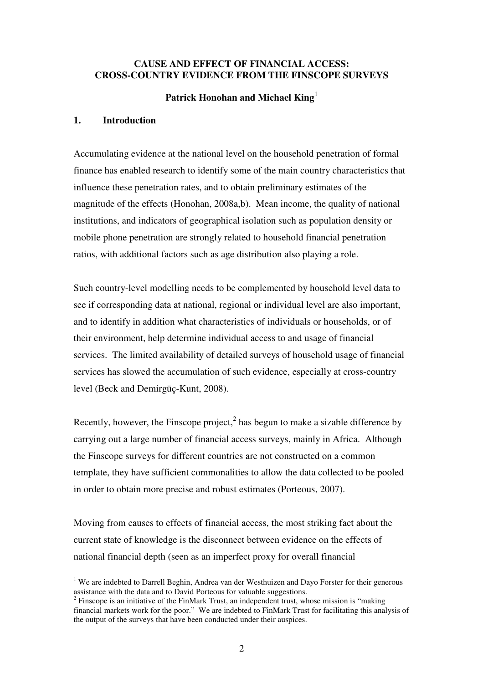### **CAUSE AND EFFECT OF FINANCIAL ACCESS: CROSS-COUNTRY EVIDENCE FROM THE FINSCOPE SURVEYS**

# **Patrick Honohan and Michael King**<sup>1</sup>

#### **1. Introduction**

-

Accumulating evidence at the national level on the household penetration of formal finance has enabled research to identify some of the main country characteristics that influence these penetration rates, and to obtain preliminary estimates of the magnitude of the effects (Honohan, 2008a,b). Mean income, the quality of national institutions, and indicators of geographical isolation such as population density or mobile phone penetration are strongly related to household financial penetration ratios, with additional factors such as age distribution also playing a role.

Such country-level modelling needs to be complemented by household level data to see if corresponding data at national, regional or individual level are also important, and to identify in addition what characteristics of individuals or households, or of their environment, help determine individual access to and usage of financial services. The limited availability of detailed surveys of household usage of financial services has slowed the accumulation of such evidence, especially at cross-country level (Beck and Demirgüç-Kunt, 2008).

Recently, however, the Finscope project, $<sup>2</sup>$  has begun to make a sizable difference by</sup> carrying out a large number of financial access surveys, mainly in Africa. Although the Finscope surveys for different countries are not constructed on a common template, they have sufficient commonalities to allow the data collected to be pooled in order to obtain more precise and robust estimates (Porteous, 2007).

Moving from causes to effects of financial access, the most striking fact about the current state of knowledge is the disconnect between evidence on the effects of national financial depth (seen as an imperfect proxy for overall financial

<sup>&</sup>lt;sup>1</sup> We are indebted to Darrell Beghin, Andrea van der Westhuizen and Dayo Forster for their generous assistance with the data and to David Porteous for valuable suggestions.

 $2$  Finscope is an initiative of the FinMark Trust, an independent trust, whose mission is "making" financial markets work for the poor." We are indebted to FinMark Trust for facilitating this analysis of the output of the surveys that have been conducted under their auspices.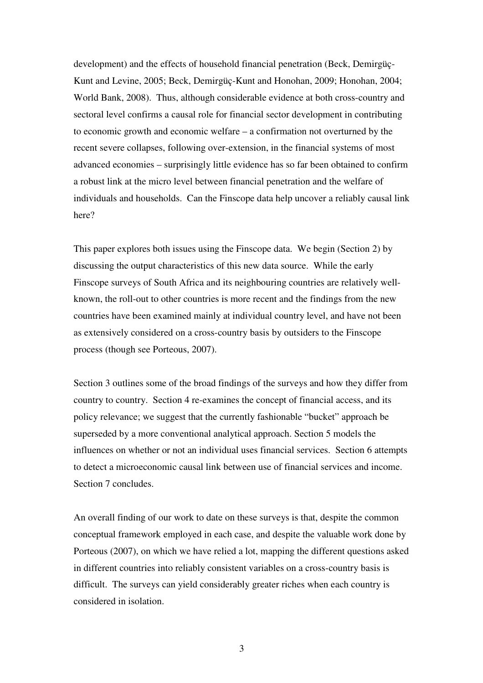development) and the effects of household financial penetration (Beck, Demirgüç-Kunt and Levine, 2005; Beck, Demirgüç-Kunt and Honohan, 2009; Honohan, 2004; World Bank, 2008). Thus, although considerable evidence at both cross-country and sectoral level confirms a causal role for financial sector development in contributing to economic growth and economic welfare – a confirmation not overturned by the recent severe collapses, following over-extension, in the financial systems of most advanced economies – surprisingly little evidence has so far been obtained to confirm a robust link at the micro level between financial penetration and the welfare of individuals and households. Can the Finscope data help uncover a reliably causal link here?

This paper explores both issues using the Finscope data. We begin (Section 2) by discussing the output characteristics of this new data source. While the early Finscope surveys of South Africa and its neighbouring countries are relatively wellknown, the roll-out to other countries is more recent and the findings from the new countries have been examined mainly at individual country level, and have not been as extensively considered on a cross-country basis by outsiders to the Finscope process (though see Porteous, 2007).

Section 3 outlines some of the broad findings of the surveys and how they differ from country to country. Section 4 re-examines the concept of financial access, and its policy relevance; we suggest that the currently fashionable "bucket" approach be superseded by a more conventional analytical approach. Section 5 models the influences on whether or not an individual uses financial services. Section 6 attempts to detect a microeconomic causal link between use of financial services and income. Section 7 concludes.

An overall finding of our work to date on these surveys is that, despite the common conceptual framework employed in each case, and despite the valuable work done by Porteous (2007), on which we have relied a lot, mapping the different questions asked in different countries into reliably consistent variables on a cross-country basis is difficult. The surveys can yield considerably greater riches when each country is considered in isolation.

3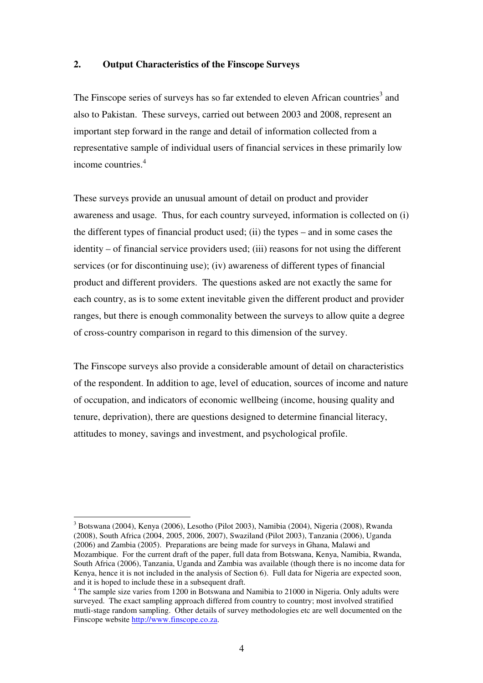#### **2. Output Characteristics of the Finscope Surveys**

The Finscope series of surveys has so far extended to eleven African countries<sup>3</sup> and also to Pakistan. These surveys, carried out between 2003 and 2008, represent an important step forward in the range and detail of information collected from a representative sample of individual users of financial services in these primarily low income countries.<sup>4</sup>

These surveys provide an unusual amount of detail on product and provider awareness and usage. Thus, for each country surveyed, information is collected on (i) the different types of financial product used; (ii) the types – and in some cases the identity – of financial service providers used; (iii) reasons for not using the different services (or for discontinuing use); (iv) awareness of different types of financial product and different providers. The questions asked are not exactly the same for each country, as is to some extent inevitable given the different product and provider ranges, but there is enough commonality between the surveys to allow quite a degree of cross-country comparison in regard to this dimension of the survey.

The Finscope surveys also provide a considerable amount of detail on characteristics of the respondent. In addition to age, level of education, sources of income and nature of occupation, and indicators of economic wellbeing (income, housing quality and tenure, deprivation), there are questions designed to determine financial literacy, attitudes to money, savings and investment, and psychological profile.

-

<sup>3</sup> Botswana (2004), Kenya (2006), Lesotho (Pilot 2003), Namibia (2004), Nigeria (2008), Rwanda (2008), South Africa (2004, 2005, 2006, 2007), Swaziland (Pilot 2003), Tanzania (2006), Uganda (2006) and Zambia (2005). Preparations are being made for surveys in Ghana, Malawi and Mozambique. For the current draft of the paper, full data from Botswana, Kenya, Namibia, Rwanda, South Africa (2006), Tanzania, Uganda and Zambia was available (though there is no income data for Kenya, hence it is not included in the analysis of Section 6). Full data for Nigeria are expected soon, and it is hoped to include these in a subsequent draft.

<sup>&</sup>lt;sup>4</sup> The sample size varies from 1200 in Botswana and Namibia to 21000 in Nigeria. Only adults were surveyed. The exact sampling approach differed from country to country; most involved stratified mutli-stage random sampling. Other details of survey methodologies etc are well documented on the Finscope website http://www.finscope.co.za.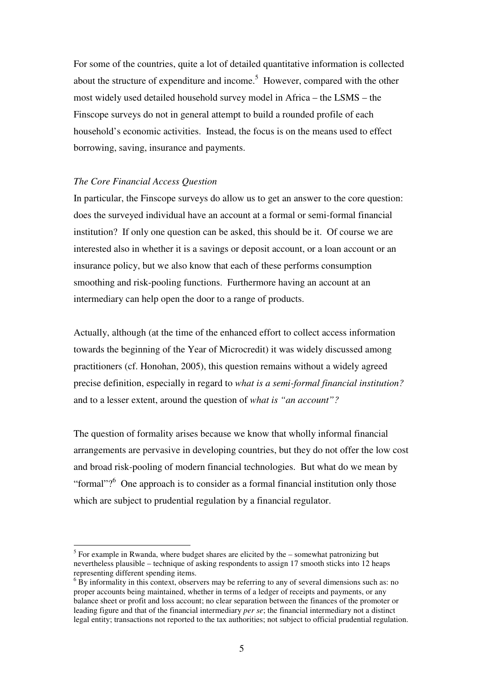For some of the countries, quite a lot of detailed quantitative information is collected about the structure of expenditure and income.<sup>5</sup> However, compared with the other most widely used detailed household survey model in Africa – the LSMS – the Finscope surveys do not in general attempt to build a rounded profile of each household's economic activities. Instead, the focus is on the means used to effect borrowing, saving, insurance and payments.

#### *The Core Financial Access Question*

-

In particular, the Finscope surveys do allow us to get an answer to the core question: does the surveyed individual have an account at a formal or semi-formal financial institution? If only one question can be asked, this should be it. Of course we are interested also in whether it is a savings or deposit account, or a loan account or an insurance policy, but we also know that each of these performs consumption smoothing and risk-pooling functions. Furthermore having an account at an intermediary can help open the door to a range of products.

Actually, although (at the time of the enhanced effort to collect access information towards the beginning of the Year of Microcredit) it was widely discussed among practitioners (cf. Honohan, 2005), this question remains without a widely agreed precise definition, especially in regard to *what is a semi-formal financial institution?* and to a lesser extent, around the question of *what is "an account"?*

The question of formality arises because we know that wholly informal financial arrangements are pervasive in developing countries, but they do not offer the low cost and broad risk-pooling of modern financial technologies. But what do we mean by "formal"? $6$  One approach is to consider as a formal financial institution only those which are subject to prudential regulation by a financial regulator.

 $<sup>5</sup>$  For example in Rwanda, where budget shares are elicited by the – somewhat patronizing but</sup> nevertheless plausible – technique of asking respondents to assign 17 smooth sticks into 12 heaps representing different spending items.

 $6\overline{B}y$  informality in this context, observers may be referring to any of several dimensions such as: no proper accounts being maintained, whether in terms of a ledger of receipts and payments, or any balance sheet or profit and loss account; no clear separation between the finances of the promoter or leading figure and that of the financial intermediary *per se*; the financial intermediary not a distinct legal entity; transactions not reported to the tax authorities; not subject to official prudential regulation.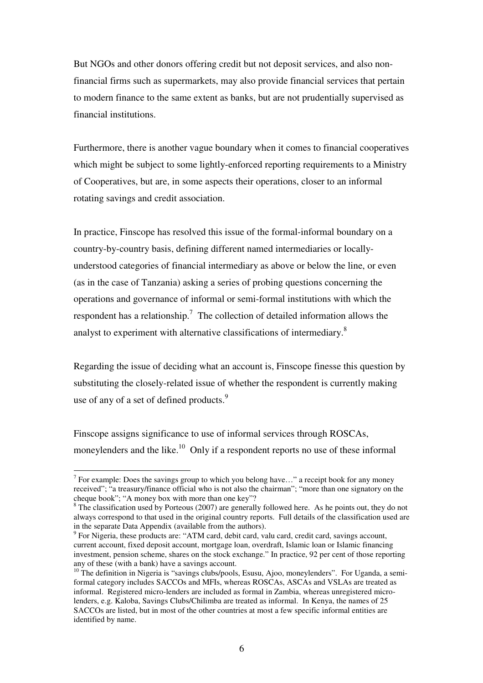But NGOs and other donors offering credit but not deposit services, and also nonfinancial firms such as supermarkets, may also provide financial services that pertain to modern finance to the same extent as banks, but are not prudentially supervised as financial institutions.

Furthermore, there is another vague boundary when it comes to financial cooperatives which might be subject to some lightly-enforced reporting requirements to a Ministry of Cooperatives, but are, in some aspects their operations, closer to an informal rotating savings and credit association.

In practice, Finscope has resolved this issue of the formal-informal boundary on a country-by-country basis, defining different named intermediaries or locallyunderstood categories of financial intermediary as above or below the line, or even (as in the case of Tanzania) asking a series of probing questions concerning the operations and governance of informal or semi-formal institutions with which the respondent has a relationship.<sup>7</sup> The collection of detailed information allows the analyst to experiment with alternative classifications of intermediary.<sup>8</sup>

Regarding the issue of deciding what an account is, Finscope finesse this question by substituting the closely-related issue of whether the respondent is currently making use of any of a set of defined products.<sup>9</sup>

Finscope assigns significance to use of informal services through ROSCAs, moneylenders and the like.<sup>10</sup> Only if a respondent reports no use of these informal

<sup>&</sup>lt;sup>7</sup> For example: Does the savings group to which you belong have..." a receipt book for any money received"; "a treasury/finance official who is not also the chairman"; "more than one signatory on the cheque book"; "A money box with more than one key"?

<sup>&</sup>lt;sup>8</sup> The classification used by Porteous (2007) are generally followed here. As he points out, they do not always correspond to that used in the original country reports. Full details of the classification used are in the separate Data Appendix (available from the authors).

<sup>&</sup>lt;sup>9</sup> For Nigeria, these products are: "ATM card, debit card, valu card, credit card, savings account, current account, fixed deposit account, mortgage loan, overdraft, Islamic loan or Islamic financing investment, pension scheme, shares on the stock exchange." In practice, 92 per cent of those reporting any of these (with a bank) have a savings account.

<sup>&</sup>lt;sup>10</sup> The definition in Nigeria is "savings clubs/pools, Esusu, Ajoo, moneylenders". For Uganda, a semiformal category includes SACCOs and MFIs, whereas ROSCAs, ASCAs and VSLAs are treated as informal. Registered micro-lenders are included as formal in Zambia, whereas unregistered microlenders, e.g. Kaloba, Savings Clubs/Chilimba are treated as informal. In Kenya, the names of 25 SACCOs are listed, but in most of the other countries at most a few specific informal entities are identified by name.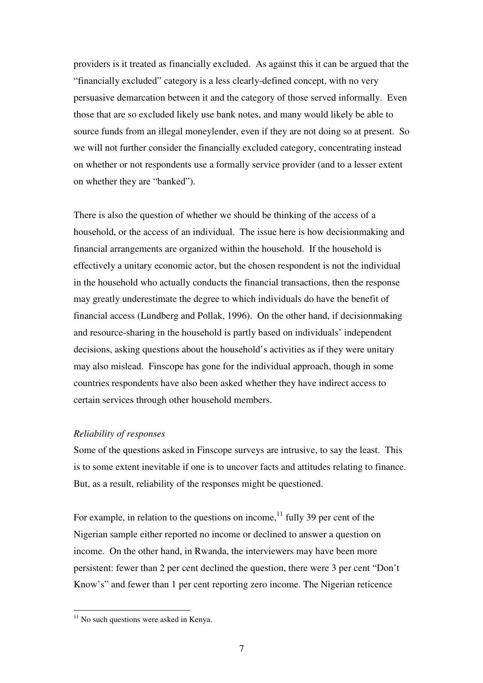providers is it treated as financially excluded. As against this it can be argued that the "financially excluded" category is a less clearly-defined concept, with no very persuasive demarcation between it and the category of those served informally. Even those that are so excluded likely use bank notes, and many would likely be able to source funds from an illegal moneylender, even if they are not doing so at present. So we will not further consider the financially excluded category, concentrating instead on whether or not respondents use a formally service provider (and to a lesser extent on whether they are "banked").

There is also the question of whether we should be thinking of the access of a household, or the access of an individual. The issue here is how decisionmaking and financial arrangements are organized within the household. If the household is effectively a unitary economic actor, but the chosen respondent is not the individual in the household who actually conducts the financial transactions, then the response may greatly underestimate the degree to which individuals do have the benefit of financial access (Lundberg and Pollak, 1996). On the other hand, if decisionmaking and resource-sharing in the household is partly based on individuals' independent decisions, asking questions about the household's activities as if they were unitary may also mislead. Finscope has gone for the individual approach, though in some countries respondents have also been asked whether they have indirect access to certain services through other household members.

#### *Reliability of responses*

Some of the questions asked in Finscope surveys are intrusive, to say the least. This is to some extent inevitable if one is to uncover facts and attitudes relating to finance. But, as a result, reliability of the responses might be questioned.

For example, in relation to the questions on income,  $11$  fully 39 per cent of the Nigerian sample either reported no income or declined to answer a question on income. On the other hand, in Rwanda, the interviewers may have been more persistent: fewer than 2 per cent declined the question, there were 3 per cent "Don't Know's" and fewer than 1 per cent reporting zero income. The Nigerian reticence

 $11$  No such questions were asked in Kenya.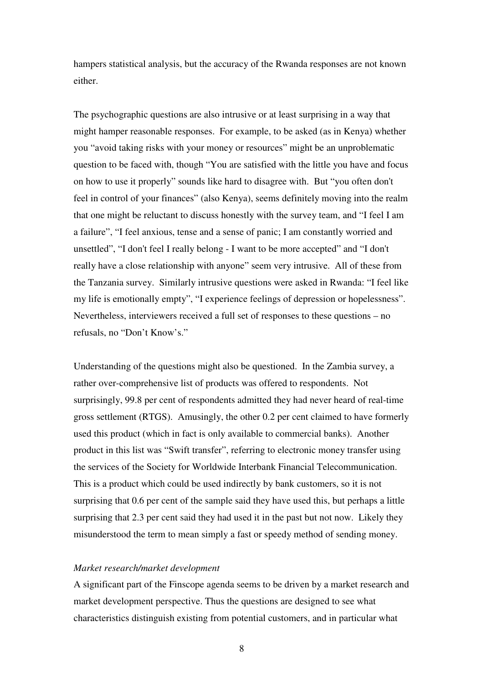hampers statistical analysis, but the accuracy of the Rwanda responses are not known either.

The psychographic questions are also intrusive or at least surprising in a way that might hamper reasonable responses. For example, to be asked (as in Kenya) whether you "avoid taking risks with your money or resources" might be an unproblematic question to be faced with, though "You are satisfied with the little you have and focus on how to use it properly" sounds like hard to disagree with. But "you often don't feel in control of your finances" (also Kenya), seems definitely moving into the realm that one might be reluctant to discuss honestly with the survey team, and "I feel I am a failure", "I feel anxious, tense and a sense of panic; I am constantly worried and unsettled", "I don't feel I really belong - I want to be more accepted" and "I don't really have a close relationship with anyone" seem very intrusive. All of these from the Tanzania survey. Similarly intrusive questions were asked in Rwanda: "I feel like my life is emotionally empty", "I experience feelings of depression or hopelessness". Nevertheless, interviewers received a full set of responses to these questions – no refusals, no "Don't Know's."

Understanding of the questions might also be questioned. In the Zambia survey, a rather over-comprehensive list of products was offered to respondents. Not surprisingly, 99.8 per cent of respondents admitted they had never heard of real-time gross settlement (RTGS). Amusingly, the other 0.2 per cent claimed to have formerly used this product (which in fact is only available to commercial banks). Another product in this list was "Swift transfer", referring to electronic money transfer using the services of the Society for Worldwide Interbank Financial Telecommunication. This is a product which could be used indirectly by bank customers, so it is not surprising that 0.6 per cent of the sample said they have used this, but perhaps a little surprising that 2.3 per cent said they had used it in the past but not now. Likely they misunderstood the term to mean simply a fast or speedy method of sending money.

#### *Market research/market development*

A significant part of the Finscope agenda seems to be driven by a market research and market development perspective. Thus the questions are designed to see what characteristics distinguish existing from potential customers, and in particular what

8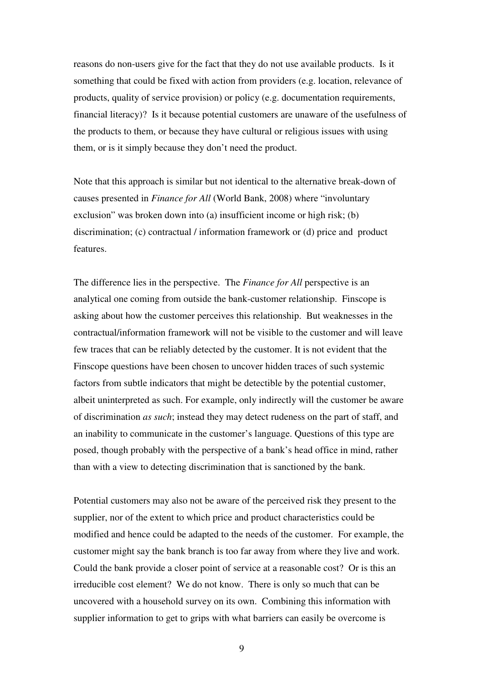reasons do non-users give for the fact that they do not use available products. Is it something that could be fixed with action from providers (e.g. location, relevance of products, quality of service provision) or policy (e.g. documentation requirements, financial literacy)? Is it because potential customers are unaware of the usefulness of the products to them, or because they have cultural or religious issues with using them, or is it simply because they don't need the product.

Note that this approach is similar but not identical to the alternative break-down of causes presented in *Finance for All* (World Bank, 2008) where "involuntary exclusion" was broken down into (a) insufficient income or high risk; (b) discrimination; (c) contractual / information framework or (d) price and product features.

The difference lies in the perspective. The *Finance for All* perspective is an analytical one coming from outside the bank-customer relationship. Finscope is asking about how the customer perceives this relationship. But weaknesses in the contractual/information framework will not be visible to the customer and will leave few traces that can be reliably detected by the customer. It is not evident that the Finscope questions have been chosen to uncover hidden traces of such systemic factors from subtle indicators that might be detectible by the potential customer, albeit uninterpreted as such. For example, only indirectly will the customer be aware of discrimination *as such*; instead they may detect rudeness on the part of staff, and an inability to communicate in the customer's language. Questions of this type are posed, though probably with the perspective of a bank's head office in mind, rather than with a view to detecting discrimination that is sanctioned by the bank.

Potential customers may also not be aware of the perceived risk they present to the supplier, nor of the extent to which price and product characteristics could be modified and hence could be adapted to the needs of the customer. For example, the customer might say the bank branch is too far away from where they live and work. Could the bank provide a closer point of service at a reasonable cost? Or is this an irreducible cost element? We do not know. There is only so much that can be uncovered with a household survey on its own. Combining this information with supplier information to get to grips with what barriers can easily be overcome is

9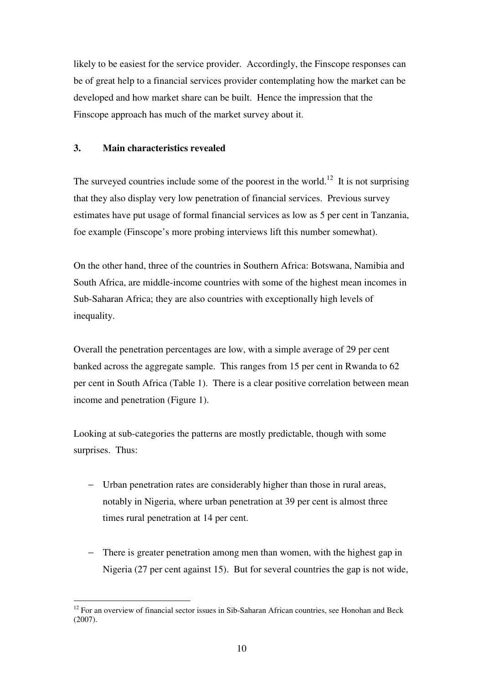likely to be easiest for the service provider. Accordingly, the Finscope responses can be of great help to a financial services provider contemplating how the market can be developed and how market share can be built. Hence the impression that the Finscope approach has much of the market survey about it.

## **3. Main characteristics revealed**

-

The surveyed countries include some of the poorest in the world.<sup>12</sup> It is not surprising that they also display very low penetration of financial services. Previous survey estimates have put usage of formal financial services as low as 5 per cent in Tanzania, foe example (Finscope's more probing interviews lift this number somewhat).

On the other hand, three of the countries in Southern Africa: Botswana, Namibia and South Africa, are middle-income countries with some of the highest mean incomes in Sub-Saharan Africa; they are also countries with exceptionally high levels of inequality.

Overall the penetration percentages are low, with a simple average of 29 per cent banked across the aggregate sample. This ranges from 15 per cent in Rwanda to 62 per cent in South Africa (Table 1). There is a clear positive correlation between mean income and penetration (Figure 1).

Looking at sub-categories the patterns are mostly predictable, though with some surprises. Thus:

- − Urban penetration rates are considerably higher than those in rural areas, notably in Nigeria, where urban penetration at 39 per cent is almost three times rural penetration at 14 per cent.
- − There is greater penetration among men than women, with the highest gap in Nigeria (27 per cent against 15). But for several countries the gap is not wide,

 $12$  For an overview of financial sector issues in Sib-Saharan African countries, see Honohan and Beck (2007).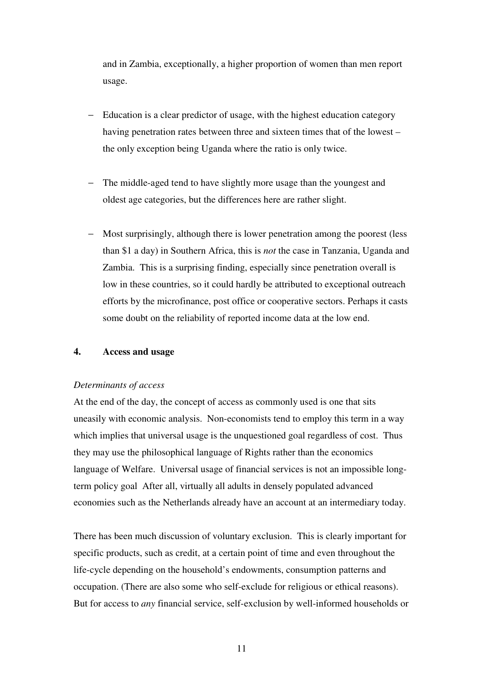and in Zambia, exceptionally, a higher proportion of women than men report usage.

- Education is a clear predictor of usage, with the highest education category having penetration rates between three and sixteen times that of the lowest – the only exception being Uganda where the ratio is only twice.
- The middle-aged tend to have slightly more usage than the youngest and oldest age categories, but the differences here are rather slight.
- Most surprisingly, although there is lower penetration among the poorest (less than \$1 a day) in Southern Africa, this is *not* the case in Tanzania, Uganda and Zambia. This is a surprising finding, especially since penetration overall is low in these countries, so it could hardly be attributed to exceptional outreach efforts by the microfinance, post office or cooperative sectors. Perhaps it casts some doubt on the reliability of reported income data at the low end.

### **4. Access and usage**

#### *Determinants of access*

At the end of the day, the concept of access as commonly used is one that sits uneasily with economic analysis. Non-economists tend to employ this term in a way which implies that universal usage is the unquestioned goal regardless of cost. Thus they may use the philosophical language of Rights rather than the economics language of Welfare. Universal usage of financial services is not an impossible longterm policy goal After all, virtually all adults in densely populated advanced economies such as the Netherlands already have an account at an intermediary today.

There has been much discussion of voluntary exclusion. This is clearly important for specific products, such as credit, at a certain point of time and even throughout the life-cycle depending on the household's endowments, consumption patterns and occupation. (There are also some who self-exclude for religious or ethical reasons). But for access to *any* financial service, self-exclusion by well-informed households or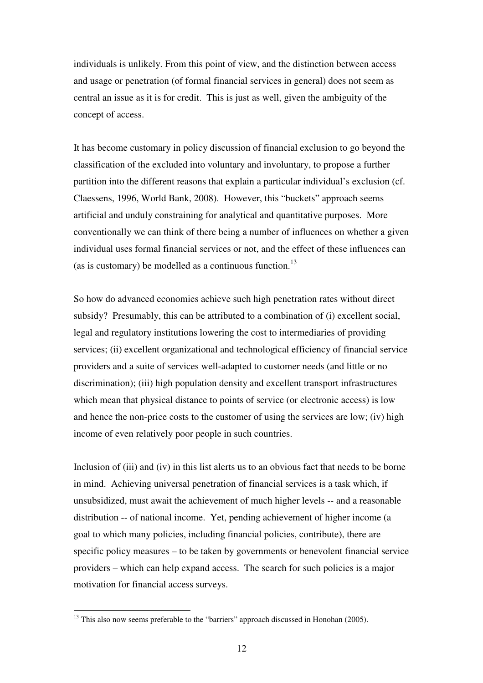individuals is unlikely. From this point of view, and the distinction between access and usage or penetration (of formal financial services in general) does not seem as central an issue as it is for credit. This is just as well, given the ambiguity of the concept of access.

It has become customary in policy discussion of financial exclusion to go beyond the classification of the excluded into voluntary and involuntary, to propose a further partition into the different reasons that explain a particular individual's exclusion (cf. Claessens, 1996, World Bank, 2008). However, this "buckets" approach seems artificial and unduly constraining for analytical and quantitative purposes. More conventionally we can think of there being a number of influences on whether a given individual uses formal financial services or not, and the effect of these influences can (as is customary) be modelled as a continuous function.<sup>13</sup>

So how do advanced economies achieve such high penetration rates without direct subsidy? Presumably, this can be attributed to a combination of (i) excellent social, legal and regulatory institutions lowering the cost to intermediaries of providing services; (ii) excellent organizational and technological efficiency of financial service providers and a suite of services well-adapted to customer needs (and little or no discrimination); (iii) high population density and excellent transport infrastructures which mean that physical distance to points of service (or electronic access) is low and hence the non-price costs to the customer of using the services are low; (iv) high income of even relatively poor people in such countries.

Inclusion of (iii) and (iv) in this list alerts us to an obvious fact that needs to be borne in mind. Achieving universal penetration of financial services is a task which, if unsubsidized, must await the achievement of much higher levels -- and a reasonable distribution -- of national income. Yet, pending achievement of higher income (a goal to which many policies, including financial policies, contribute), there are specific policy measures – to be taken by governments or benevolent financial service providers – which can help expand access. The search for such policies is a major motivation for financial access surveys.

 $13$  This also now seems preferable to the "barriers" approach discussed in Honohan (2005).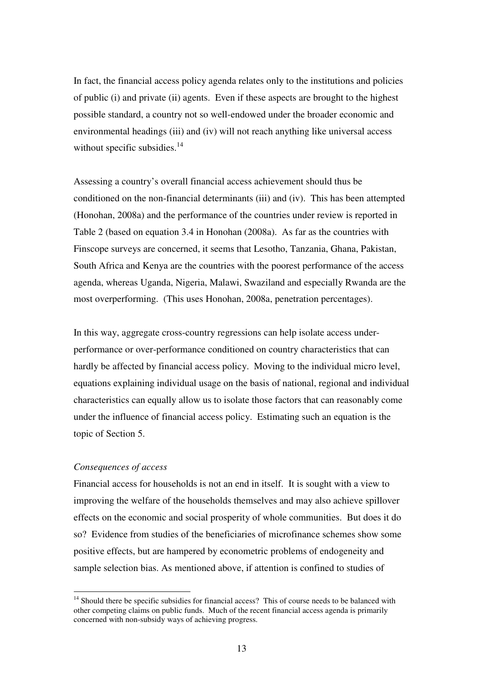In fact, the financial access policy agenda relates only to the institutions and policies of public (i) and private (ii) agents. Even if these aspects are brought to the highest possible standard, a country not so well-endowed under the broader economic and environmental headings (iii) and (iv) will not reach anything like universal access without specific subsidies. $14$ 

Assessing a country's overall financial access achievement should thus be conditioned on the non-financial determinants (iii) and (iv). This has been attempted (Honohan, 2008a) and the performance of the countries under review is reported in Table 2 (based on equation 3.4 in Honohan (2008a). As far as the countries with Finscope surveys are concerned, it seems that Lesotho, Tanzania, Ghana, Pakistan, South Africa and Kenya are the countries with the poorest performance of the access agenda, whereas Uganda, Nigeria, Malawi, Swaziland and especially Rwanda are the most overperforming. (This uses Honohan, 2008a, penetration percentages).

In this way, aggregate cross-country regressions can help isolate access underperformance or over-performance conditioned on country characteristics that can hardly be affected by financial access policy. Moving to the individual micro level, equations explaining individual usage on the basis of national, regional and individual characteristics can equally allow us to isolate those factors that can reasonably come under the influence of financial access policy. Estimating such an equation is the topic of Section 5.

# *Consequences of access*

<u>.</u>

Financial access for households is not an end in itself. It is sought with a view to improving the welfare of the households themselves and may also achieve spillover effects on the economic and social prosperity of whole communities. But does it do so? Evidence from studies of the beneficiaries of microfinance schemes show some positive effects, but are hampered by econometric problems of endogeneity and sample selection bias. As mentioned above, if attention is confined to studies of

<sup>&</sup>lt;sup>14</sup> Should there be specific subsidies for financial access? This of course needs to be balanced with other competing claims on public funds. Much of the recent financial access agenda is primarily concerned with non-subsidy ways of achieving progress.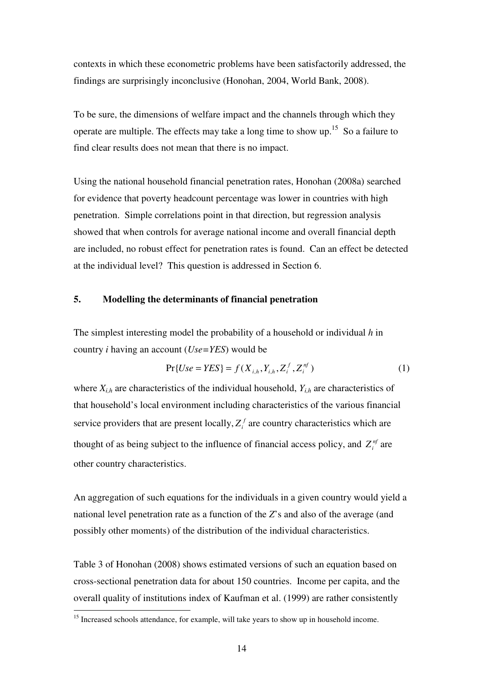contexts in which these econometric problems have been satisfactorily addressed, the findings are surprisingly inconclusive (Honohan, 2004, World Bank, 2008).

To be sure, the dimensions of welfare impact and the channels through which they operate are multiple. The effects may take a long time to show up.<sup>15</sup> So a failure to find clear results does not mean that there is no impact.

Using the national household financial penetration rates, Honohan (2008a) searched for evidence that poverty headcount percentage was lower in countries with high penetration. Simple correlations point in that direction, but regression analysis showed that when controls for average national income and overall financial depth are included, no robust effect for penetration rates is found. Can an effect be detected at the individual level? This question is addressed in Section 6.

# **5. Modelling the determinants of financial penetration**

The simplest interesting model the probability of a household or individual *h* in country *i* having an account (*Use=YES*) would be

$$
Pr\{Use = YES\} = f(X_{i,h}, Y_{i,h}, Z_i^f, Z_i^{nf})
$$
\n(1)

where  $X_{i,h}$  are characteristics of the individual household,  $Y_{i,h}$  are characteristics of that household's local environment including characteristics of the various financial service providers that are present locally,  $Z_i^f$  are country characteristics which are thought of as being subject to the influence of financial access policy, and  $Z_i^{nf}$  are other country characteristics.

An aggregation of such equations for the individuals in a given country would yield a national level penetration rate as a function of the *Z*'s and also of the average (and possibly other moments) of the distribution of the individual characteristics.

Table 3 of Honohan (2008) shows estimated versions of such an equation based on cross-sectional penetration data for about 150 countries. Income per capita, and the overall quality of institutions index of Kaufman et al. (1999) are rather consistently

<sup>&</sup>lt;sup>15</sup> Increased schools attendance, for example, will take years to show up in household income.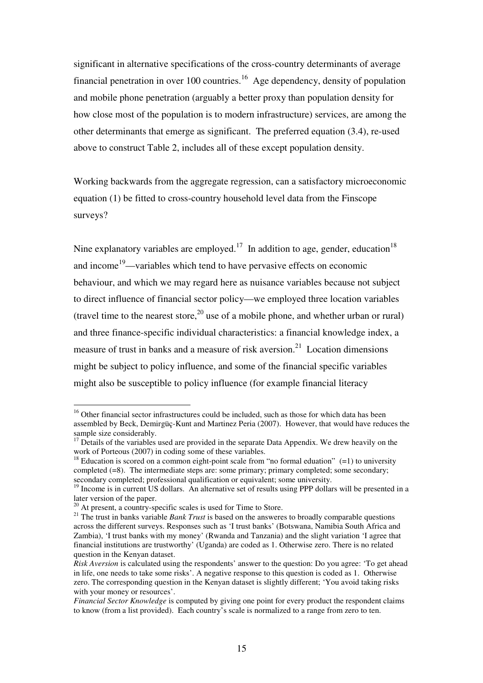significant in alternative specifications of the cross-country determinants of average financial penetration in over 100 countries.<sup>16</sup> Age dependency, density of population and mobile phone penetration (arguably a better proxy than population density for how close most of the population is to modern infrastructure) services, are among the other determinants that emerge as significant. The preferred equation (3.4), re-used above to construct Table 2, includes all of these except population density.

Working backwards from the aggregate regression, can a satisfactory microeconomic equation (1) be fitted to cross-country household level data from the Finscope surveys?

Nine explanatory variables are employed.<sup>17</sup> In addition to age, gender, education<sup>18</sup> and income<sup>19</sup>—variables which tend to have pervasive effects on economic behaviour, and which we may regard here as nuisance variables because not subject to direct influence of financial sector policy—we employed three location variables (travel time to the nearest store,  $^{20}$  use of a mobile phone, and whether urban or rural) and three finance-specific individual characteristics: a financial knowledge index, a measure of trust in banks and a measure of risk aversion.<sup>21</sup> Location dimensions might be subject to policy influence, and some of the financial specific variables might also be susceptible to policy influence (for example financial literacy

<sup>&</sup>lt;sup>16</sup> Other financial sector infrastructures could be included, such as those for which data has been assembled by Beck, Demirgüç-Kunt and Martinez Peria (2007). However, that would have reduces the sample size considerably.

 $17$  Details of the variables used are provided in the separate Data Appendix. We drew heavily on the work of Porteous (2007) in coding some of these variables.

<sup>&</sup>lt;sup>18</sup> Education is scored on a common eight-point scale from "no formal eduation"  $(=1)$  to university completed (=8). The intermediate steps are: some primary; primary completed; some secondary; secondary completed; professional qualification or equivalent; some university.

<sup>19</sup> Income is in current US dollars. An alternative set of results using PPP dollars will be presented in a later version of the paper.

 $20$  At present, a country-specific scales is used for Time to Store.

<sup>&</sup>lt;sup>21</sup> The trust in banks variable *Bank Trust* is based on the answeres to broadly comparable questions across the different surveys. Responses such as 'I trust banks' (Botswana, Namibia South Africa and Zambia), 'I trust banks with my money' (Rwanda and Tanzania) and the slight variation 'I agree that financial institutions are trustworthy' (Uganda) are coded as 1. Otherwise zero. There is no related question in the Kenyan dataset.

*Risk Aversion* is calculated using the respondents' answer to the question: Do you agree: 'To get ahead in life, one needs to take some risks'. A negative response to this question is coded as 1. Otherwise zero. The corresponding question in the Kenyan dataset is slightly different; 'You avoid taking risks with your money or resources'.

*Financial Sector Knowledge* is computed by giving one point for every product the respondent claims to know (from a list provided). Each country's scale is normalized to a range from zero to ten.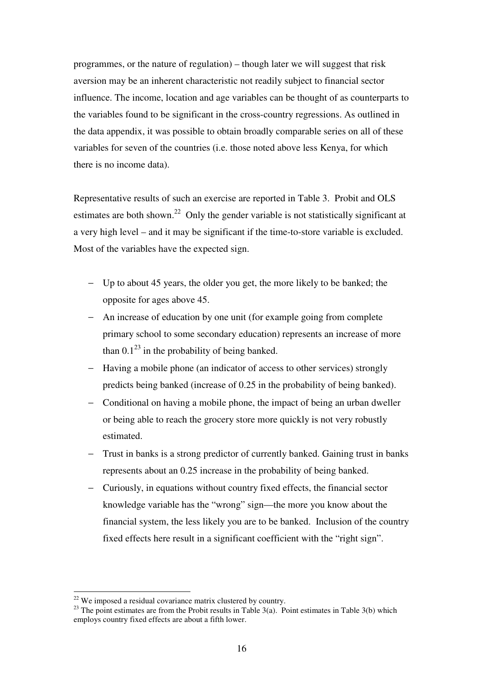programmes, or the nature of regulation) – though later we will suggest that risk aversion may be an inherent characteristic not readily subject to financial sector influence. The income, location and age variables can be thought of as counterparts to the variables found to be significant in the cross-country regressions. As outlined in the data appendix, it was possible to obtain broadly comparable series on all of these variables for seven of the countries (i.e. those noted above less Kenya, for which there is no income data).

Representative results of such an exercise are reported in Table 3. Probit and OLS estimates are both shown.<sup>22</sup> Only the gender variable is not statistically significant at a very high level – and it may be significant if the time-to-store variable is excluded. Most of the variables have the expected sign.

- − Up to about 45 years, the older you get, the more likely to be banked; the opposite for ages above 45.
- − An increase of education by one unit (for example going from complete primary school to some secondary education) represents an increase of more than  $0.1^{23}$  in the probability of being banked.
- − Having a mobile phone (an indicator of access to other services) strongly predicts being banked (increase of 0.25 in the probability of being banked).
- − Conditional on having a mobile phone, the impact of being an urban dweller or being able to reach the grocery store more quickly is not very robustly estimated.
- Trust in banks is a strong predictor of currently banked. Gaining trust in banks represents about an 0.25 increase in the probability of being banked.
- − Curiously, in equations without country fixed effects, the financial sector knowledge variable has the "wrong" sign—the more you know about the financial system, the less likely you are to be banked. Inclusion of the country fixed effects here result in a significant coefficient with the "right sign".

 $22$  We imposed a residual covariance matrix clustered by country.

<sup>&</sup>lt;sup>23</sup> The point estimates are from the Probit results in Table 3(a). Point estimates in Table 3(b) which employs country fixed effects are about a fifth lower.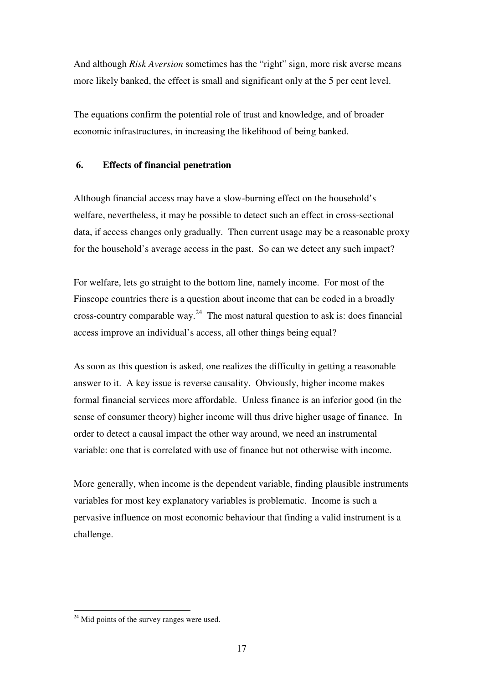And although *Risk Aversion* sometimes has the "right" sign, more risk averse means more likely banked, the effect is small and significant only at the 5 per cent level.

The equations confirm the potential role of trust and knowledge, and of broader economic infrastructures, in increasing the likelihood of being banked.

# **6. Effects of financial penetration**

Although financial access may have a slow-burning effect on the household's welfare, nevertheless, it may be possible to detect such an effect in cross-sectional data, if access changes only gradually. Then current usage may be a reasonable proxy for the household's average access in the past. So can we detect any such impact?

For welfare, lets go straight to the bottom line, namely income. For most of the Finscope countries there is a question about income that can be coded in a broadly cross-country comparable way. $^{24}$  The most natural question to ask is: does financial access improve an individual's access, all other things being equal?

As soon as this question is asked, one realizes the difficulty in getting a reasonable answer to it. A key issue is reverse causality. Obviously, higher income makes formal financial services more affordable. Unless finance is an inferior good (in the sense of consumer theory) higher income will thus drive higher usage of finance. In order to detect a causal impact the other way around, we need an instrumental variable: one that is correlated with use of finance but not otherwise with income.

More generally, when income is the dependent variable, finding plausible instruments variables for most key explanatory variables is problematic. Income is such a pervasive influence on most economic behaviour that finding a valid instrument is a challenge.

 $24$  Mid points of the survey ranges were used.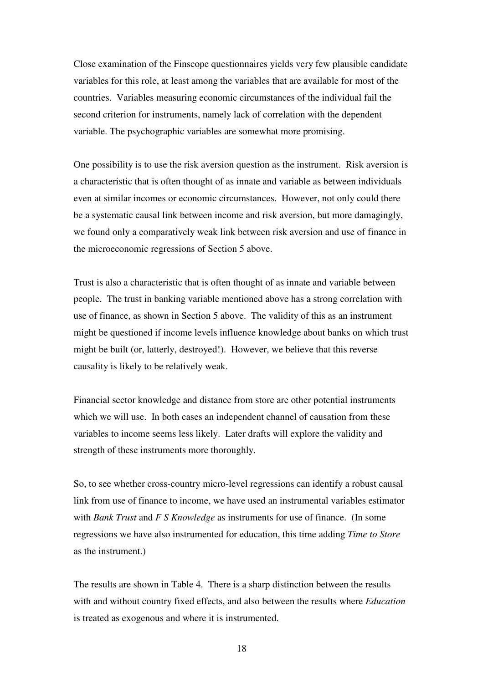Close examination of the Finscope questionnaires yields very few plausible candidate variables for this role, at least among the variables that are available for most of the countries. Variables measuring economic circumstances of the individual fail the second criterion for instruments, namely lack of correlation with the dependent variable. The psychographic variables are somewhat more promising.

One possibility is to use the risk aversion question as the instrument. Risk aversion is a characteristic that is often thought of as innate and variable as between individuals even at similar incomes or economic circumstances. However, not only could there be a systematic causal link between income and risk aversion, but more damagingly, we found only a comparatively weak link between risk aversion and use of finance in the microeconomic regressions of Section 5 above.

Trust is also a characteristic that is often thought of as innate and variable between people. The trust in banking variable mentioned above has a strong correlation with use of finance, as shown in Section 5 above. The validity of this as an instrument might be questioned if income levels influence knowledge about banks on which trust might be built (or, latterly, destroyed!). However, we believe that this reverse causality is likely to be relatively weak.

Financial sector knowledge and distance from store are other potential instruments which we will use. In both cases an independent channel of causation from these variables to income seems less likely. Later drafts will explore the validity and strength of these instruments more thoroughly.

So, to see whether cross-country micro-level regressions can identify a robust causal link from use of finance to income, we have used an instrumental variables estimator with *Bank Trust* and *F S Knowledge* as instruments for use of finance. (In some regressions we have also instrumented for education, this time adding *Time to Store*  as the instrument.)

The results are shown in Table 4. There is a sharp distinction between the results with and without country fixed effects, and also between the results where *Education* is treated as exogenous and where it is instrumented.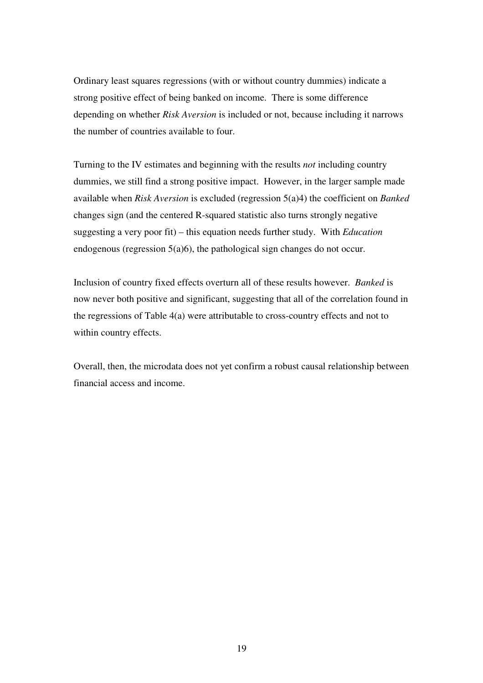Ordinary least squares regressions (with or without country dummies) indicate a strong positive effect of being banked on income. There is some difference depending on whether *Risk Aversion* is included or not, because including it narrows the number of countries available to four.

Turning to the IV estimates and beginning with the results *not* including country dummies, we still find a strong positive impact. However, in the larger sample made available when *Risk Aversion* is excluded (regression 5(a)4) the coefficient on *Banked* changes sign (and the centered R-squared statistic also turns strongly negative suggesting a very poor fit) – this equation needs further study. With *Education* endogenous (regression 5(a)6), the pathological sign changes do not occur.

Inclusion of country fixed effects overturn all of these results however. *Banked* is now never both positive and significant, suggesting that all of the correlation found in the regressions of Table 4(a) were attributable to cross-country effects and not to within country effects.

Overall, then, the microdata does not yet confirm a robust causal relationship between financial access and income.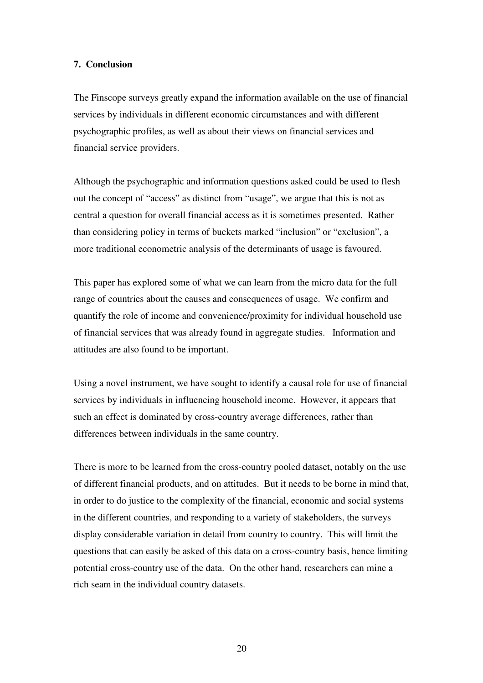#### **7. Conclusion**

The Finscope surveys greatly expand the information available on the use of financial services by individuals in different economic circumstances and with different psychographic profiles, as well as about their views on financial services and financial service providers.

Although the psychographic and information questions asked could be used to flesh out the concept of "access" as distinct from "usage", we argue that this is not as central a question for overall financial access as it is sometimes presented. Rather than considering policy in terms of buckets marked "inclusion" or "exclusion", a more traditional econometric analysis of the determinants of usage is favoured.

This paper has explored some of what we can learn from the micro data for the full range of countries about the causes and consequences of usage. We confirm and quantify the role of income and convenience/proximity for individual household use of financial services that was already found in aggregate studies. Information and attitudes are also found to be important.

Using a novel instrument, we have sought to identify a causal role for use of financial services by individuals in influencing household income. However, it appears that such an effect is dominated by cross-country average differences, rather than differences between individuals in the same country.

There is more to be learned from the cross-country pooled dataset, notably on the use of different financial products, and on attitudes. But it needs to be borne in mind that, in order to do justice to the complexity of the financial, economic and social systems in the different countries, and responding to a variety of stakeholders, the surveys display considerable variation in detail from country to country. This will limit the questions that can easily be asked of this data on a cross-country basis, hence limiting potential cross-country use of the data. On the other hand, researchers can mine a rich seam in the individual country datasets.

20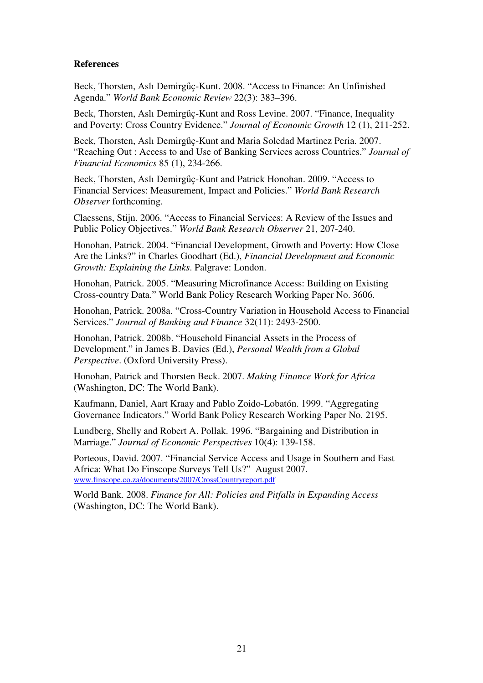# **References**

Beck, Thorsten, Aslı Demirgűç-Kunt. 2008. "Access to Finance: An Unfinished Agenda." *World Bank Economic Review* 22(3): 383–396.

Beck, Thorsten, Aslı Demirgűç-Kunt and Ross Levine. 2007. "Finance, Inequality and Poverty: Cross Country Evidence." *Journal of Economic Growth* 12 (1), 211-252.

Beck, Thorsten, Aslı Demirgűç-Kunt and Maria Soledad Martinez Peria. 2007. "Reaching Out : Access to and Use of Banking Services across Countries." *Journal of Financial Economics* 85 (1), 234-266.

Beck, Thorsten, Aslı Demirgűç-Kunt and Patrick Honohan. 2009. "Access to Financial Services: Measurement, Impact and Policies." *World Bank Research Observer* forthcoming.

Claessens, Stijn. 2006. "Access to Financial Services: A Review of the Issues and Public Policy Objectives." *World Bank Research Observer* 21, 207-240.

Honohan, Patrick. 2004. "Financial Development, Growth and Poverty: How Close Are the Links?" in Charles Goodhart (Ed.), *Financial Development and Economic Growth: Explaining the Links*. Palgrave: London.

Honohan, Patrick. 2005. "Measuring Microfinance Access: Building on Existing Cross-country Data." World Bank Policy Research Working Paper No. 3606.

Honohan, Patrick. 2008a. "Cross-Country Variation in Household Access to Financial Services." *Journal of Banking and Finance* 32(11): 2493-2500.

Honohan, Patrick. 2008b. "Household Financial Assets in the Process of Development." in James B. Davies (Ed.), *Personal Wealth from a Global Perspective*. (Oxford University Press).

Honohan, Patrick and Thorsten Beck. 2007. *Making Finance Work for Africa* (Washington, DC: The World Bank).

Kaufmann, Daniel, Aart Kraay and Pablo Zoido-Lobatón. 1999. "Aggregating Governance Indicators." World Bank Policy Research Working Paper No. 2195.

Lundberg, Shelly and Robert A. Pollak. 1996. "Bargaining and Distribution in Marriage." *Journal of Economic Perspectives* 10(4): 139-158.

Porteous, David. 2007. "Financial Service Access and Usage in Southern and East Africa: What Do Finscope Surveys Tell Us?" August 2007. www.finscope.co.za/documents/2007/CrossCountryreport.pdf

World Bank. 2008. *Finance for All: Policies and Pitfalls in Expanding Access* (Washington, DC: The World Bank).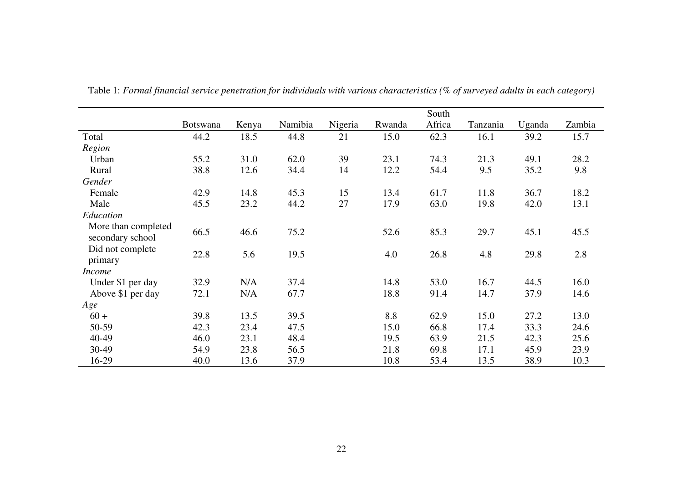|                             |                 |       |         |         |        | South  |          |        |        |
|-----------------------------|-----------------|-------|---------|---------|--------|--------|----------|--------|--------|
|                             | <b>Botswana</b> | Kenya | Namibia | Nigeria | Rwanda | Africa | Tanzania | Uganda | Zambia |
| Total                       | 44.2            | 18.5  | 44.8    | 21      | 15.0   | 62.3   | 16.1     | 39.2   | 15.7   |
| Region                      |                 |       |         |         |        |        |          |        |        |
| Urban                       | 55.2            | 31.0  | 62.0    | 39      | 23.1   | 74.3   | 21.3     | 49.1   | 28.2   |
| Rural                       | 38.8            | 12.6  | 34.4    | 14      | 12.2   | 54.4   | 9.5      | 35.2   | 9.8    |
| Gender                      |                 |       |         |         |        |        |          |        |        |
| Female                      | 42.9            | 14.8  | 45.3    | 15      | 13.4   | 61.7   | 11.8     | 36.7   | 18.2   |
| Male                        | 45.5            | 23.2  | 44.2    | 27      | 17.9   | 63.0   | 19.8     | 42.0   | 13.1   |
| Education                   |                 |       |         |         |        |        |          |        |        |
| More than completed         | 66.5            | 46.6  | 75.2    |         | 52.6   | 85.3   | 29.7     | 45.1   | 45.5   |
| secondary school            |                 |       |         |         |        |        |          |        |        |
| Did not complete<br>primary | 22.8            | 5.6   | 19.5    |         | 4.0    | 26.8   | 4.8      | 29.8   | 2.8    |
| <i>Income</i>               |                 |       |         |         |        |        |          |        |        |
| Under \$1 per day           | 32.9            | N/A   | 37.4    |         | 14.8   | 53.0   | 16.7     | 44.5   | 16.0   |
| Above \$1 per day           | 72.1            | N/A   | 67.7    |         | 18.8   | 91.4   | 14.7     | 37.9   | 14.6   |
| Age                         |                 |       |         |         |        |        |          |        |        |
| $60 +$                      | 39.8            | 13.5  | 39.5    |         | 8.8    | 62.9   | 15.0     | 27.2   | 13.0   |
| 50-59                       | 42.3            | 23.4  | 47.5    |         | 15.0   | 66.8   | 17.4     | 33.3   | 24.6   |
| 40-49                       | 46.0            | 23.1  | 48.4    |         | 19.5   | 63.9   | 21.5     | 42.3   | 25.6   |
| 30-49                       | 54.9            | 23.8  | 56.5    |         | 21.8   | 69.8   | 17.1     | 45.9   | 23.9   |
| 16-29                       | 40.0            | 13.6  | 37.9    |         | 10.8   | 53.4   | 13.5     | 38.9   | 10.3   |

Table 1: *Formal financial service penetration for individuals with various characteristics (% of surveyed adults in each category)*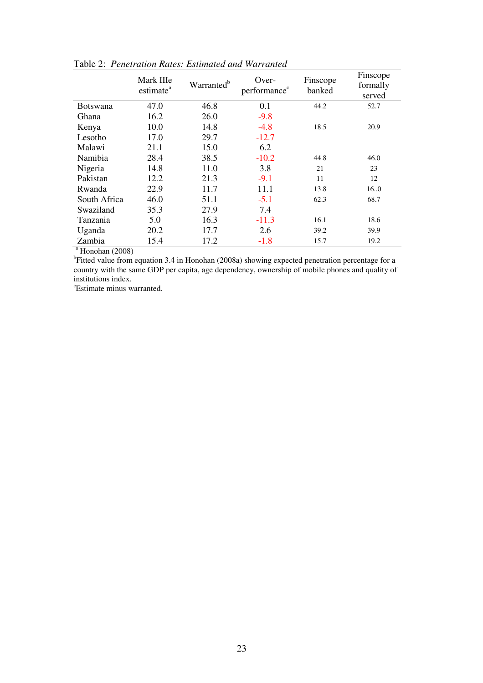|                     | Mark IIIe<br>estimate <sup>a</sup> | Warranted <sup>b</sup> | Over-<br>performance <sup>c</sup>                                                                            | Finscope<br>banked | Finscope<br>formally<br>served |
|---------------------|------------------------------------|------------------------|--------------------------------------------------------------------------------------------------------------|--------------------|--------------------------------|
| <b>Botswana</b>     | 47.0                               | 46.8                   | 0.1                                                                                                          | 44.2               | 52.7                           |
| Ghana               | 16.2                               | 26.0                   | $-9.8$                                                                                                       |                    |                                |
| Kenya               | 10.0                               | 14.8                   | $-4.8$                                                                                                       | 18.5               | 20.9                           |
| Lesotho             | 17.0                               | 29.7                   | $-12.7$                                                                                                      |                    |                                |
| Malawi              | 21.1                               | 15.0                   | 6.2                                                                                                          |                    |                                |
| Namibia             | 28.4                               | 38.5                   | $-10.2$                                                                                                      | 44.8               | 46.0                           |
| Nigeria             | 14.8                               | 11.0                   | 3.8                                                                                                          | 21                 | 23                             |
| Pakistan            | 12.2                               | 21.3                   | $-9.1$                                                                                                       | 11                 | 12                             |
| Rwanda              | 22.9                               | 11.7                   | 11.1                                                                                                         | 13.8               | 16.0                           |
| South Africa        | 46.0                               | 51.1                   | $-5.1$                                                                                                       | 62.3               | 68.7                           |
| Swaziland           | 35.3                               | 27.9                   | 7.4                                                                                                          |                    |                                |
| Tanzania            | 5.0                                | 16.3                   | $-11.3$                                                                                                      | 16.1               | 18.6                           |
| Uganda              | 20.2                               | 17.7                   | 2.6                                                                                                          | 39.2               | 39.9                           |
| Zambia              | 15.4                               | 17.2                   | $-1.8$                                                                                                       | 15.7               | 19.2                           |
| $^a$ Honohan (2008) |                                    |                        |                                                                                                              |                    |                                |
|                     |                                    |                        | <sup>b</sup> Fitted value from equation 3.4 in Honohan (2008a) showing expected penetration percentage for a |                    |                                |

Table 2: *Penetration Rates: Estimated and Warranted*

country with the same GDP per capita, age dependency, ownership of mobile phones and quality of institutions index.

<sup>c</sup>Estimate minus warranted.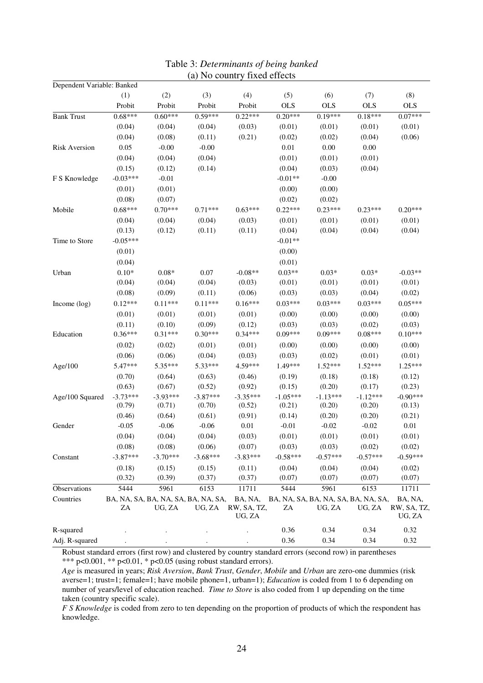| Dependent Variable: Banked |            |                                               |            |                                  |            |                                               |            |                                  |
|----------------------------|------------|-----------------------------------------------|------------|----------------------------------|------------|-----------------------------------------------|------------|----------------------------------|
|                            | (1)        | (2)                                           | (3)        | (4)                              | (5)        | (6)                                           | (7)        | (8)                              |
|                            | Probit     | Probit                                        | Probit     | Probit                           | <b>OLS</b> | <b>OLS</b>                                    | <b>OLS</b> | <b>OLS</b>                       |
| <b>Bank Trust</b>          | $0.68***$  | $0.60***$                                     | $0.59***$  | $0.22***$                        | $0.20***$  | $0.19***$                                     | $0.18***$  | $0.07***$                        |
|                            | (0.04)     | (0.04)                                        | (0.04)     | (0.03)                           | (0.01)     | (0.01)                                        | (0.01)     | (0.01)                           |
|                            | (0.04)     | (0.08)                                        | (0.11)     | (0.21)                           | (0.02)     | (0.02)                                        | (0.04)     | (0.06)                           |
| <b>Risk Aversion</b>       | 0.05       | $-0.00$                                       | $-0.00$    |                                  | 0.01       | 0.00                                          | 0.00       |                                  |
|                            | (0.04)     | (0.04)                                        | (0.04)     |                                  | (0.01)     | (0.01)                                        | (0.01)     |                                  |
|                            | (0.15)     | (0.12)                                        | (0.14)     |                                  | (0.04)     | (0.03)                                        | (0.04)     |                                  |
| F S Knowledge              | $-0.03***$ | $-0.01$                                       |            |                                  | $-0.01**$  | $-0.00$                                       |            |                                  |
|                            | (0.01)     | (0.01)                                        |            |                                  | (0.00)     | (0.00)                                        |            |                                  |
|                            | (0.08)     | (0.07)                                        |            |                                  | (0.02)     | (0.02)                                        |            |                                  |
| Mobile                     | $0.68***$  | $0.70***$                                     | $0.71***$  | $0.63***$                        | $0.22***$  | $0.23***$                                     | $0.23***$  | $0.20***$                        |
|                            | (0.04)     | (0.04)                                        | (0.04)     | (0.03)                           | (0.01)     | (0.01)                                        | (0.01)     | (0.01)                           |
|                            | (0.13)     | (0.12)                                        | (0.11)     | (0.11)                           | (0.04)     | (0.04)                                        | (0.04)     | (0.04)                           |
| Time to Store              | $-0.05***$ |                                               |            |                                  | $-0.01**$  |                                               |            |                                  |
|                            | (0.01)     |                                               |            |                                  | (0.00)     |                                               |            |                                  |
|                            | (0.04)     |                                               |            |                                  | (0.01)     |                                               |            |                                  |
| Urban                      | $0.10*$    | $0.08*$                                       | 0.07       | $-0.08**$                        | $0.03**$   | $0.03*$                                       | $0.03*$    | $-0.03**$                        |
|                            | (0.04)     | (0.04)                                        | (0.04)     | (0.03)                           | (0.01)     | (0.01)                                        | (0.01)     | (0.01)                           |
|                            | (0.08)     | (0.09)                                        | (0.11)     | (0.06)                           | (0.03)     | (0.03)                                        | (0.04)     | (0.02)                           |
| Income (log)               | $0.12***$  | $0.11***$                                     | $0.11***$  | $0.16***$                        | $0.03***$  | $0.03***$                                     | $0.03***$  | $0.05***$                        |
|                            | (0.01)     | (0.01)                                        | (0.01)     | (0.01)                           | (0.00)     | (0.00)                                        | (0.00)     | (0.00)                           |
|                            | (0.11)     | (0.10)                                        | (0.09)     | (0.12)                           | (0.03)     | (0.03)                                        | (0.02)     | (0.03)                           |
| Education                  | $0.36***$  | $0.31***$                                     | $0.30***$  | $0.34***$                        | $0.09***$  | $0.09***$                                     | $0.08***$  | $0.10***$                        |
|                            | (0.02)     | (0.02)                                        | (0.01)     | (0.01)                           | (0.00)     | (0.00)                                        | (0.00)     | (0.00)                           |
|                            | (0.06)     | (0.06)                                        | (0.04)     | (0.03)                           | (0.03)     | (0.02)                                        | (0.01)     | (0.01)                           |
| Age/100                    | 5.47***    | 5.35***                                       | 5.33***    | 4.59***                          | 1.49***    | $1.52***$                                     | $1.52***$  | $1.25***$                        |
|                            | (0.70)     | (0.64)                                        | (0.63)     | (0.46)                           | (0.19)     | (0.18)                                        | (0.18)     | (0.12)                           |
|                            | (0.63)     | (0.67)                                        | (0.52)     | (0.92)                           | (0.15)     | (0.20)                                        | (0.17)     | (0.23)                           |
| Age/100 Squared            | $-3.73***$ | $-3.93***$                                    | $-3.87***$ | $-3.35***$                       | $-1.05***$ | $-1.13***$                                    | $-1.12***$ | $-0.90***$                       |
|                            | (0.79)     | (0.71)                                        | (0.70)     | (0.52)                           | (0.21)     | (0.20)                                        | (0.20)     | (0.13)                           |
|                            | (0.46)     | (0.64)                                        | (0.61)     | (0.91)                           | (0.14)     | (0.20)                                        | (0.20)     | (0.21)                           |
| Gender                     | $-0.05$    | $-0.06$                                       | $-0.06$    | $0.01\,$                         | $-0.01$    | $-0.02$                                       | $-0.02$    | $0.01\,$                         |
|                            | (0.04)     | (0.04)                                        | (0.04)     | (0.03)                           | (0.01)     | (0.01)                                        | (0.01)     | (0.01)                           |
|                            | (0.08)     | (0.08)                                        | (0.06)     | (0.07)                           | (0.03)     | (0.03)                                        | (0.02)     | (0.02)                           |
| Constant                   | $-3.87***$ | $-3.70***$                                    | $-3.68***$ | $-3.83***$                       | $-0.58***$ | $-0.57***$                                    | $-0.57***$ | $-0.59***$                       |
|                            | (0.18)     | (0.15)                                        | (0.15)     | (0.11)                           | (0.04)     | (0.04)                                        | (0.04)     | (0.02)                           |
|                            | (0.32)     | (0.39)                                        | (0.37)     | (0.37)                           | (0.07)     | (0.07)                                        | (0.07)     | (0.07)                           |
| Observations               | 5444       | 5961                                          | 6153       | 11711                            | 5444       | 5961                                          | 6153       | 11711                            |
| Countries                  | ZA         | BA, NA, SA, BA, NA, SA, BA, NA, SA,<br>UG, ZA | UG, ZA     | BA, NA,<br>RW, SA, TZ,<br>UG, ZA | ZA         | BA, NA, SA, BA, NA, SA, BA, NA, SA,<br>UG, ZA | UG, ZA     | BA, NA,<br>RW, SA, TZ,<br>UG, ZA |
| R-squared                  |            |                                               |            |                                  | 0.36       | 0.34                                          | 0.34       | 0.32                             |
| Adj. R-squared             |            |                                               |            |                                  | 0.36       | 0.34                                          | 0.34       | 0.32                             |

#### Table 3: *Determinants of being banked*  (a) No country fixed effects

Robust standard errors (first row) and clustered by country standard errors (second row) in parentheses

\*\*\* p<0.001, \*\* p<0.01, \* p<0.05 (using robust standard errors).

*Age* is measured in years; *Risk Aversion*, *Bank Trust*, *Gender*, *Mobile* and *Urban* are zero-one dummies (risk averse=1; trust=1; female=1; have mobile phone=1, urban=1); *Education* is coded from 1 to 6 depending on number of years/level of education reached. *Time to Store* is also coded from 1 up depending on the time taken (country specific scale).

*F S Knowledge* is coded from zero to ten depending on the proportion of products of which the respondent has knowledge.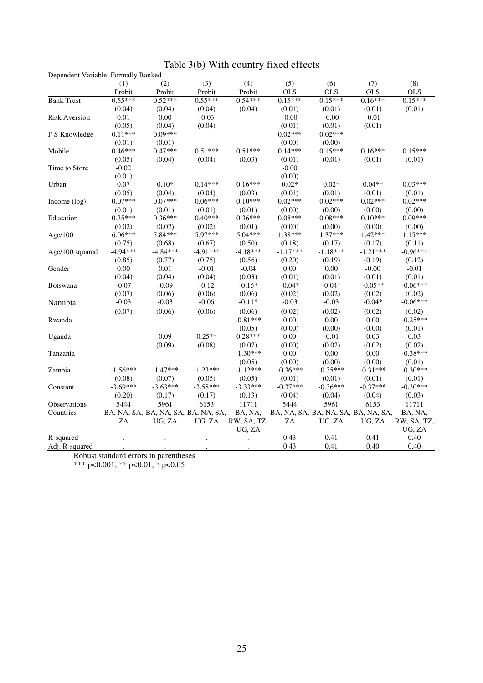| Dependent Variable: Formally Banked |                |                                     |            |             |            |                                     |            |             |
|-------------------------------------|----------------|-------------------------------------|------------|-------------|------------|-------------------------------------|------------|-------------|
|                                     | (1)            | (2)                                 | (3)        | (4)         | (5)        | (6)                                 | (7)        | (8)         |
|                                     | Probit         | Probit                              | Probit     | Probit      | <b>OLS</b> | <b>OLS</b>                          | <b>OLS</b> | <b>OLS</b>  |
| <b>Bank Trust</b>                   | $0.55***$      | $0.52***$                           | $0.55***$  | $0.54***$   | $0.15***$  | $0.15***$                           | $0.16***$  | $0.15***$   |
|                                     | (0.04)         | (0.04)                              | (0.04)     | (0.04)      | (0.01)     | (0.01)                              | (0.01)     | (0.01)      |
| <b>Risk Aversion</b>                | 0.01           | 0.00                                | $-0.03$    |             | $-0.00$    | $-0.00$                             | $-0.01$    |             |
|                                     | (0.05)         | (0.04)                              | (0.04)     |             | (0.01)     | (0.01)                              | (0.01)     |             |
| F S Knowledge                       | $0.11***$      | $0.09***$                           |            |             | $0.02***$  | $0.02***$                           |            |             |
|                                     | (0.01)         | (0.01)                              |            |             | (0.00)     | (0.00)                              |            |             |
| Mobile                              | $0.46***$      | $0.47***$                           | $0.51***$  | $0.51***$   | $0.14***$  | $0.15***$                           | $0.16***$  | $0.15***$   |
|                                     | (0.05)         | (0.04)                              | (0.04)     | (0.03)      | (0.01)     | (0.01)                              | (0.01)     | (0.01)      |
| Time to Store                       | $-0.02$        |                                     |            |             | $-0.00$    |                                     |            |             |
|                                     | (0.01)         |                                     |            |             | (0.00)     |                                     |            |             |
| Urban                               | 0.07           | $0.10*$                             | $0.14***$  | $0.16***$   | $0.02*$    | $0.02*$                             | $0.04**$   | $0.03***$   |
|                                     | (0.05)         | (0.04)                              | (0.04)     | (0.03)      | (0.01)     | (0.01)                              | (0.01)     | (0.01)      |
| Income $(\log)$                     | $0.07***$      | $0.07***$                           | $0.06***$  | $0.10***$   | $0.02***$  | $0.02***$                           | $0.02***$  | $0.02***$   |
|                                     | (0.01)         | (0.01)                              | (0.01)     | (0.01)      | (0.00)     | (0.00)                              | (0.00)     | (0.00)      |
| Education                           | $0.35***$      | $0.36***$                           | $0.40***$  | $0.36***$   | $0.08***$  | $0.08***$                           | $0.10***$  | $0.09***$   |
|                                     | (0.02)         | (0.02)                              | (0.02)     | (0.01)      | (0.00)     | (0.00)                              | (0.00)     | (0.00)      |
| Age/100                             | $6.06***$      | 5.84***                             | 5.97***    | $5.04***$   | 1.38***    | $1.37***$                           | $1.42***$  | $1.15***$   |
|                                     | (0.75)         | (0.68)                              | (0.67)     | (0.50)      | (0.18)     | (0.17)                              | (0.17)     | (0.11)      |
| Age/100 squared                     | $-4.94***$     | $-4.84***$                          | $-4.91***$ | $-4.18***$  | $-1.17***$ | $-1.18***$                          | $-1.21***$ | $-0.96***$  |
|                                     | (0.85)         | (0.77)                              | (0.75)     | (0.56)      | (0.20)     | (0.19)                              | (0.19)     | (0.12)      |
| Gender                              | 0.00           | 0.01                                | $-0.01$    | $-0.04$     | 0.00       | 0.00                                | $-0.00$    | $-0.01$     |
|                                     | (0.04)         | (0.04)                              | (0.04)     | (0.03)      | (0.01)     | (0.01)                              | (0.01)     | (0.01)      |
| <b>Botswana</b>                     | $-0.07$        | $-0.09$                             | $-0.12$    | $-0.15*$    | $-0.04*$   | $-0.04*$                            | $-0.05**$  | $-0.06***$  |
|                                     | (0.07)         | (0.06)                              | (0.06)     | (0.06)      | (0.02)     | (0.02)                              | (0.02)     | (0.02)      |
| Namibia                             | $-0.03$        | $-0.03$                             | $-0.06$    | $-0.11*$    | $-0.03$    | $-0.03$                             | $-0.04*$   | $-0.06***$  |
|                                     | (0.07)         | (0.06)                              | (0.06)     | (0.06)      | (0.02)     | (0.02)                              | (0.02)     | (0.02)      |
| Rwanda                              |                |                                     |            | $-0.81***$  | 0.00       | 0.00                                | 0.00       | $-0.25***$  |
|                                     |                |                                     |            | (0.05)      | (0.00)     | (0.00)                              | (0.00)     | (0.01)      |
| Uganda                              |                | 0.09                                | $0.25**$   | $0.28***$   | 0.00       | $-0.01$                             | 0.03       | 0.03        |
|                                     |                | (0.09)                              | (0.08)     | (0.07)      | (0.00)     | (0.02)                              | (0.02)     | (0.02)      |
| Tanzania                            |                |                                     |            | $-1.30***$  | 0.00       | 0.00                                | 0.00       | $-0.38***$  |
|                                     |                |                                     |            | (0.05)      | (0.00)     | (0.00)                              | (0.00)     | (0.01)      |
| Zambia                              | $-1.56***$     | $-1.47***$                          | $-1.23***$ | $-1.12***$  | $-0.36***$ | $-0.35***$                          | $-0.31***$ | $-0.30***$  |
|                                     | (0.08)         | (0.07)                              | (0.05)     | (0.05)      | (0.01)     | (0.01)                              | (0.01)     | (0.01)      |
| Constant                            | $-3.69***$     | $-3.63***$                          | $-3.58***$ | $-3.33***$  | $-0.37***$ | $-0.36***$                          | $-0.37***$ | $-0.30***$  |
|                                     | (0.20)         | (0.17)                              | (0.17)     | (0.13)      | (0.04)     | (0.04)                              | (0.04)     | (0.03)      |
| Observations                        | 5444           | 5961                                | 6153       | 11711       | 5444       | 5961                                | 6153       | 11711       |
| Countries                           |                | BA, NA, SA, BA, NA, SA, BA, NA, SA, |            | BA, NA,     |            | BA, NA, SA, BA, NA, SA, BA, NA, SA, |            | BA, NA,     |
|                                     | ZA             | UG, ZA                              | UG, ZA     | RW, SA, TZ, | ZA         | UG, ZA                              | UG, ZA     | RW, SA, TZ, |
|                                     |                |                                     |            | UG, ZA      |            |                                     |            | UG, ZA      |
| R-squared                           |                |                                     |            |             | 0.43       | 0.41                                | 0.41       | 0.40        |
| Adj. R-squared                      |                |                                     |            |             | 0.43       | 0.41                                | 0.40       | 0.40        |
| $\mathbf{D}$ 1                      | $\blacksquare$ |                                     |            |             |            |                                     |            |             |

Table 3(b) With country fixed effects

Robust standard errors in parentheses

\*\*\* p<0.001, \*\* p<0.01, \* p<0.05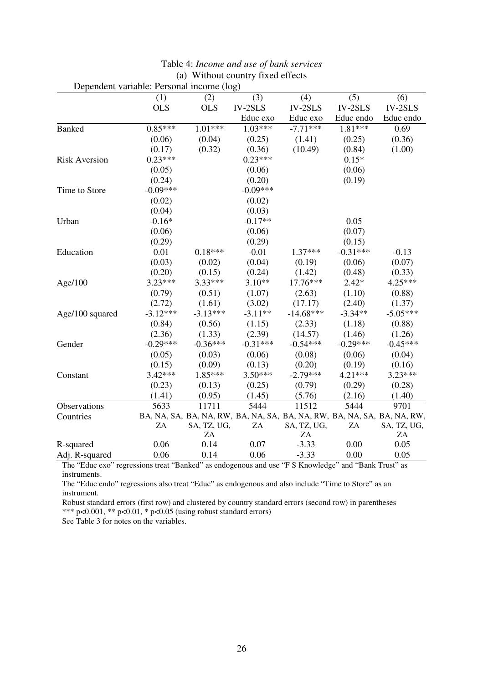|                      | Dependent variable: Personal income (log) |             |            |                                                                         |            |             |
|----------------------|-------------------------------------------|-------------|------------|-------------------------------------------------------------------------|------------|-------------|
|                      | (1)                                       | (2)         | (3)        | (4)                                                                     | (5)        | (6)         |
|                      | <b>OLS</b>                                | <b>OLS</b>  | $IV-2SLS$  | $IV-2SLS$                                                               | $IV-2SLS$  | $IV-2SLS$   |
|                      |                                           |             | Educ exo   | Educ exo                                                                | Educ endo  | Educ endo   |
| <b>Banked</b>        | $0.85***$                                 | $1.01***$   | $1.03***$  | $-7.71***$                                                              | 1.81***    | 0.69        |
|                      | (0.06)                                    | (0.04)      | (0.25)     | (1.41)                                                                  | (0.25)     | (0.36)      |
|                      | (0.17)                                    | (0.32)      | (0.36)     | (10.49)                                                                 | (0.84)     | (1.00)      |
| <b>Risk Aversion</b> | $0.23***$                                 |             | $0.23***$  |                                                                         | $0.15*$    |             |
|                      | (0.05)                                    |             | (0.06)     |                                                                         | (0.06)     |             |
|                      | (0.24)                                    |             | (0.20)     |                                                                         | (0.19)     |             |
| Time to Store        | $-0.09***$                                |             | $-0.09***$ |                                                                         |            |             |
|                      | (0.02)                                    |             | (0.02)     |                                                                         |            |             |
|                      | (0.04)                                    |             | (0.03)     |                                                                         |            |             |
| Urban                | $-0.16*$                                  |             | $-0.17**$  |                                                                         | 0.05       |             |
|                      | (0.06)                                    |             | (0.06)     |                                                                         | (0.07)     |             |
|                      | (0.29)                                    |             | (0.29)     |                                                                         | (0.15)     |             |
| Education            | 0.01                                      | $0.18***$   | $-0.01$    | $1.37***$                                                               | $-0.31***$ | $-0.13$     |
|                      | (0.03)                                    | (0.02)      | (0.04)     | (0.19)                                                                  | (0.06)     | (0.07)      |
|                      | (0.20)                                    | (0.15)      | (0.24)     | (1.42)                                                                  | (0.48)     | (0.33)      |
| Age/100              | $3.23***$                                 | 3.33***     | $3.10**$   | 17.76***                                                                | $2.42*$    | 4.25***     |
|                      | (0.79)                                    | (0.51)      | (1.07)     | (2.63)                                                                  | (1.10)     | (0.88)      |
|                      | (2.72)                                    | (1.61)      | (3.02)     | (17.17)                                                                 | (2.40)     | (1.37)      |
| Age/100 squared      | $-3.12***$                                | $-3.13***$  | $-3.11**$  | $-14.68***$                                                             | $-3.34**$  | $-5.05***$  |
|                      | (0.84)                                    | (0.56)      | (1.15)     | (2.33)                                                                  | (1.18)     | (0.88)      |
|                      | (2.36)                                    | (1.33)      | (2.39)     | (14.57)                                                                 | (1.46)     | (1.26)      |
| Gender               | $-0.29***$                                | $-0.36***$  | $-0.31***$ | $-0.54***$                                                              | $-0.29***$ | $-0.45***$  |
|                      | (0.05)                                    | (0.03)      | (0.06)     | (0.08)                                                                  | (0.06)     | (0.04)      |
|                      | (0.15)                                    | (0.09)      | (0.13)     | (0.20)                                                                  | (0.19)     | (0.16)      |
| Constant             | $3.42***$                                 | $1.85***$   | $3.50***$  | $-2.79***$                                                              | $4.21***$  | $3.23***$   |
|                      | (0.23)                                    | (0.13)      | (0.25)     | (0.79)                                                                  | (0.29)     | (0.28)      |
|                      | (1.41)                                    | (0.95)      | (1.45)     | (5.76)                                                                  | (2.16)     | (1.40)      |
| Observations         | 5633                                      | 11711       | 5444       | 11512                                                                   | 5444       | 9701        |
| Countries            |                                           |             |            | BA, NA, SA, BA, NA, RW, BA, NA, SA, BA, NA, RW, BA, NA, SA, BA, NA, RW, |            |             |
|                      | ZA                                        | SA, TZ, UG, | ZA         | SA, TZ, UG,                                                             | ZA         | SA, TZ, UG, |
|                      |                                           | $\rm ZA$    |            | $\rm ZA$                                                                |            | $\rm ZA$    |
| R-squared            | 0.06                                      | 0.14        | 0.07       | $-3.33$                                                                 | 0.00       | 0.05        |
| Adj. R-squared       | 0.06                                      | 0.14        | 0.06       | $-3.33$                                                                 | 0.00       | 0.05        |

|  | Table 4: Income and use of bank services |
|--|------------------------------------------|
|  | (a) Without country fixed effects        |

The "Educ exo" regressions treat "Banked" as endogenous and use "F S Knowledge" and "Bank Trust" as instruments.

The "Educ endo" regressions also treat "Educ" as endogenous and also include "Time to Store" as an instrument.

Robust standard errors (first row) and clustered by country standard errors (second row) in parentheses \*\*\*  $p<0.001$ , \*\*  $p<0.01$ , \*  $p<0.05$  (using robust standard errors)

See Table 3 for notes on the variables.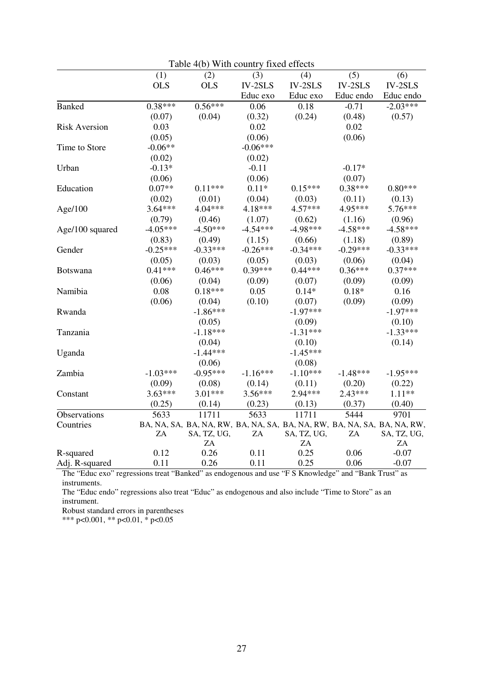| Table 4(b) With country fixed effects |            |             |            |                                                                         |            |             |  |  |  |
|---------------------------------------|------------|-------------|------------|-------------------------------------------------------------------------|------------|-------------|--|--|--|
|                                       | (1)        | (2)         | (3)        | (4)                                                                     | (5)        | (6)         |  |  |  |
|                                       | <b>OLS</b> | <b>OLS</b>  | $IV-2SLS$  | $IV-2SLS$                                                               | $IV-2SLS$  | $IV-2SLS$   |  |  |  |
|                                       |            |             | Educ exo   | Educ exo                                                                | Educ endo  | Educ endo   |  |  |  |
| <b>Banked</b>                         | $0.38***$  | $0.56***$   | 0.06       | 0.18                                                                    | $-0.71$    | $-2.03***$  |  |  |  |
|                                       | (0.07)     | (0.04)      | (0.32)     | (0.24)                                                                  | (0.48)     | (0.57)      |  |  |  |
| <b>Risk Aversion</b>                  | 0.03       |             | 0.02       |                                                                         | 0.02       |             |  |  |  |
|                                       | (0.05)     |             | (0.06)     |                                                                         | (0.06)     |             |  |  |  |
| Time to Store                         | $-0.06**$  |             | $-0.06***$ |                                                                         |            |             |  |  |  |
|                                       | (0.02)     |             | (0.02)     |                                                                         |            |             |  |  |  |
| Urban                                 | $-0.13*$   |             | $-0.11$    |                                                                         | $-0.17*$   |             |  |  |  |
|                                       | (0.06)     |             | (0.06)     |                                                                         | (0.07)     |             |  |  |  |
| Education                             | $0.07**$   | $0.11***$   | $0.11*$    | $0.15***$                                                               | $0.38***$  | $0.80***$   |  |  |  |
|                                       | (0.02)     | (0.01)      | (0.04)     | (0.03)                                                                  | (0.11)     | (0.13)      |  |  |  |
| Age/100                               | $3.64***$  | $4.04***$   | $4.18***$  | $4.57***$                                                               | 4.95***    | $5.76***$   |  |  |  |
|                                       | (0.79)     | (0.46)      | (1.07)     | (0.62)                                                                  | (1.16)     | (0.96)      |  |  |  |
| Age/100 squared                       | $-4.05***$ | $-4.50***$  | $-4.54***$ | $-4.98***$                                                              | $-4.58***$ | $-4.58***$  |  |  |  |
|                                       | (0.83)     | (0.49)      | (1.15)     | (0.66)                                                                  | (1.18)     | (0.89)      |  |  |  |
| Gender                                | $-0.25***$ | $-0.33***$  | $-0.26***$ | $-0.34***$                                                              | $-0.29***$ | $-0.33***$  |  |  |  |
|                                       | (0.05)     | (0.03)      | (0.05)     | (0.03)                                                                  | (0.06)     | (0.04)      |  |  |  |
| <b>Botswana</b>                       | $0.41***$  | $0.46***$   | $0.39***$  | $0.44***$                                                               | $0.36***$  | $0.37***$   |  |  |  |
|                                       | (0.06)     | (0.04)      | (0.09)     | (0.07)                                                                  | (0.09)     | (0.09)      |  |  |  |
| Namibia                               | 0.08       | $0.18***$   | 0.05       | $0.14*$                                                                 | $0.18*$    | 0.16        |  |  |  |
|                                       | (0.06)     | (0.04)      | (0.10)     | (0.07)                                                                  | (0.09)     | (0.09)      |  |  |  |
| Rwanda                                |            | $-1.86***$  |            | $-1.97***$                                                              |            | $-1.97***$  |  |  |  |
|                                       |            | (0.05)      |            | (0.09)                                                                  |            | (0.10)      |  |  |  |
| Tanzania                              |            | $-1.18***$  |            | $-1.31***$                                                              |            | $-1.33***$  |  |  |  |
|                                       |            | (0.04)      |            | (0.10)                                                                  |            | (0.14)      |  |  |  |
| Uganda                                |            | $-1.44***$  |            | $-1.45***$                                                              |            |             |  |  |  |
|                                       |            | (0.06)      |            | (0.08)                                                                  |            |             |  |  |  |
| Zambia                                | $-1.03***$ | $-0.95***$  | $-1.16***$ | $-1.10***$                                                              | $-1.48***$ | $-1.95***$  |  |  |  |
|                                       | (0.09)     | (0.08)      | (0.14)     | (0.11)                                                                  | (0.20)     | (0.22)      |  |  |  |
| Constant                              | $3.63***$  | $3.01***$   | $3.56***$  | 2.94***                                                                 | $2.43***$  | $1.11**$    |  |  |  |
|                                       | (0.25)     | (0.14)      | (0.23)     | (0.13)                                                                  | (0.37)     | (0.40)      |  |  |  |
| Observations                          | 5633       | 11711       | 5633       | 11711                                                                   | 5444       | 9701        |  |  |  |
| Countries                             |            |             |            | BA, NA, SA, BA, NA, RW, BA, NA, SA, BA, NA, RW, BA, NA, SA, BA, NA, RW, |            |             |  |  |  |
|                                       | ZA         | SA, TZ, UG, | ZA         | SA, TZ, UG,                                                             | ZA         | SA, TZ, UG, |  |  |  |
|                                       |            | ZA          |            | ZA                                                                      |            | ZA          |  |  |  |
| R-squared                             | 0.12       | 0.26        | 0.11       | 0.25                                                                    | 0.06       | $-0.07$     |  |  |  |
| Adj. R-squared                        | 0.11       | 0.26        | 0.11       | 0.25                                                                    | 0.06       | $-0.07$     |  |  |  |

The "Educ exo" regressions treat "Banked" as endogenous and use "F S Knowledge" and "Bank Trust" as instruments.

The "Educ endo" regressions also treat "Educ" as endogenous and also include "Time to Store" as an instrument.

Robust standard errors in parentheses

\*\*\* p<0.001, \*\* p<0.01, \* p<0.05